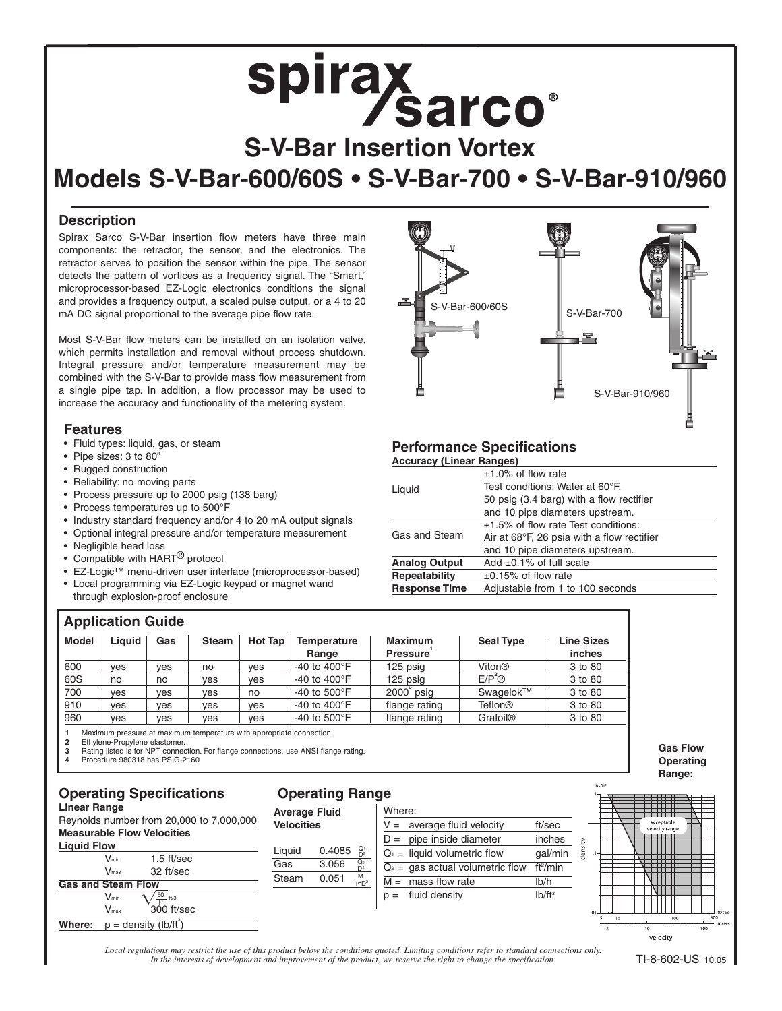#### **Description**

Spirax Sarco S-V-Bar insertion flow meters have three main components: the retractor, the sensor, and the electronics. The retractor serves to position the sensor within the pipe. The sensor detects the pattern of vortices as a frequency signal. The "Smart," microprocessor-based EZ-Logic electronics conditions the signal and provides a frequency output, a scaled pulse output, or a 4 to 20 mA DC signal proportional to the average pipe flow rate.

Most S-V-Bar flow meters can be installed on an isolation valve, which permits installation and removal without process shutdown. Integral pressure and/or temperature measurement may be combined with the S-V-Bar to provide mass flow measurement from a single pipe tap. In addition, a flow processor may be used to increase the accuracy and functionality of the metering system.

#### **Features**

- Fluid types: liquid, gas, or steam
- Pipe sizes: 3 to 80"
- Rugged construction
- Reliability: no moving parts
- Process pressure up to 2000 psig (138 barg)
- Process temperatures up to 500°F
- Industry standard frequency and/or 4 to 20 mA output signals
- Optional integral pressure and/or temperature measurement
- Negligible head loss
- Compatible with HART<sup>®</sup> protocol
- EZ-Logic™ menu-driven user interface (microprocessor-based)
- Local programming via EZ-Logic keypad or magnet wand through explosion-proof enclosure

# $S-V-Bar-600/60S$  S-V-Bar-700 S-V-Bar-910/960

#### **Performance Specifications**

| <b>Accuracy (Linear Ranges)</b>                          |                                            |  |  |
|----------------------------------------------------------|--------------------------------------------|--|--|
|                                                          | $±1.0\%$ of flow rate                      |  |  |
| Liquid                                                   | Test conditions: Water at 60°F.            |  |  |
|                                                          | 50 psig (3.4 barg) with a flow rectifier   |  |  |
|                                                          | and 10 pipe diameters upstream.            |  |  |
|                                                          | $\pm$ 1.5% of flow rate Test conditions:   |  |  |
| Gas and Steam                                            | Air at 68°F, 26 psia with a flow rectifier |  |  |
|                                                          | and 10 pipe diameters upstream.            |  |  |
| <b>Analog Output</b>                                     | Add $\pm 0.1\%$ of full scale              |  |  |
| Repeatability                                            | $\pm 0.15\%$ of flow rate                  |  |  |
| <b>Response Time</b><br>Adjustable from 1 to 100 seconds |                                            |  |  |
|                                                          |                                            |  |  |

#### **Application Guide**

| . .   |        |     |              |         |                                 |                                   |                    |                             |
|-------|--------|-----|--------------|---------|---------------------------------|-----------------------------------|--------------------|-----------------------------|
| Model | Liauid | Gas | <b>Steam</b> | Hot Tap | Temperature<br>Range            | <b>Maximum</b><br><b>Pressure</b> | <b>Seal Type</b>   | <b>Line Sizes</b><br>inches |
| 600   | ves    | ves | no           | ves     | -40 to 400 $\mathrm{^{\circ}F}$ | 125 psig                          | Viton®             | 3 to 80                     |
| 60S   | no     | no  | ves          | ves     | -40 to 400 $\mathrm{^{\circ}F}$ | 125 psig                          | $E/P^{\epsilon}$ ® | 3 to 80                     |
| 700   | ves    | ves | ves          | no      | -40 to $500^{\circ}$ F          | $2000$ psig                       | Swagelok™          | 3 to 80                     |
| 910   | ves    | ves | ves          | ves     | -40 to 400 $\mathrm{^{\circ}F}$ | flange rating                     | <b>Teflon®</b>     | 3 to 80                     |
| 960   | ves    | ves | ves          | ves     | -40 to $500^{\circ}$ F          | flange rating                     | <b>Grafoil®</b>    | 3 to 80                     |

**1** Maximum pressure at maximum temperature with appropriate connection.

**2** Ethylene-Propylene elastomer.<br>**3** Bating listed is for NPT conner

**3** Rating listed is for NPT connection. For flange connections, use ANSI flange rating. Procedure 980318 has PSIG-2160

#### **Operating Specifications Linear Range**

Reynolds number from 20,000 to 7,000,000 **Measurable Flow Velocities**



| <b>Operating Range</b> |  |
|------------------------|--|
|                        |  |

**Average Fluid Velocities**

Liquid 0.4085 Gas 3.056 Steam 0.051  $Q_1$  $D^2$  $\mathsf{Q}_2$  $D^2$ M  $\rho$ -D<sup>2</sup>







lhe/ft:

*Local regulations may restrict the use of this product below the conditions quoted. Limiting conditions refer to standard connections only. In the interests of development and improvement of the product, we reserve the right to change the specification.*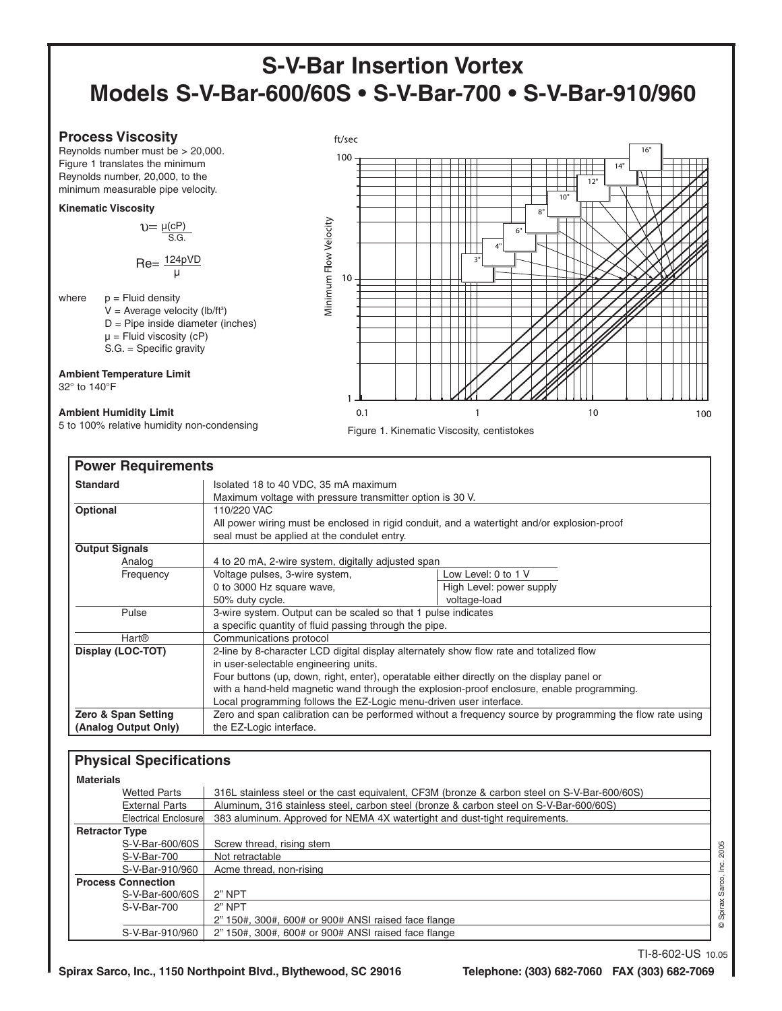#### **Process Viscosity**

Reynolds number must be > 20,000. Figure 1 translates the minimum Reynolds number, 20,000, to the minimum measurable pipe velocity.

#### **Kinematic Viscosity**

 $v = \frac{\mu(cP)}{S.G.}$ 

Re= 124pVD µ

- where  $p =$  Fluid density
	- $V =$  Average velocity (lb/ft<sup>3</sup>) D = Pipe inside diameter (inches)
	- $\mu$  = Fluid viscosity (cP)
	- S.G. = Specific gravity

**Ambient Temperature Limit** 32° to 140°F

#### **Ambient Humidity Limit**

5 to 100% relative humidity non-condensing



Figure 1. Kinematic Viscosity, centistokes

| <b>Power Requirements</b> |                                                                                             |                                                                                                          |  |  |  |  |
|---------------------------|---------------------------------------------------------------------------------------------|----------------------------------------------------------------------------------------------------------|--|--|--|--|
| <b>Standard</b>           | Isolated 18 to 40 VDC, 35 mA maximum                                                        |                                                                                                          |  |  |  |  |
|                           | Maximum voltage with pressure transmitter option is 30 V.                                   |                                                                                                          |  |  |  |  |
| Optional                  | 110/220 VAC                                                                                 |                                                                                                          |  |  |  |  |
|                           | All power wiring must be enclosed in rigid conduit, and a watertight and/or explosion-proof |                                                                                                          |  |  |  |  |
|                           | seal must be applied at the condulet entry.                                                 |                                                                                                          |  |  |  |  |
| <b>Output Signals</b>     |                                                                                             |                                                                                                          |  |  |  |  |
| Analog                    | 4 to 20 mA, 2-wire system, digitally adjusted span                                          |                                                                                                          |  |  |  |  |
| Frequency                 | Voltage pulses, 3-wire system,                                                              | Low Level: 0 to 1 V                                                                                      |  |  |  |  |
|                           | 0 to 3000 Hz square wave,                                                                   | High Level: power supply                                                                                 |  |  |  |  |
|                           | 50% duty cycle.                                                                             | voltage-load                                                                                             |  |  |  |  |
| Pulse                     | 3-wire system. Output can be scaled so that 1 pulse indicates                               |                                                                                                          |  |  |  |  |
|                           | a specific quantity of fluid passing through the pipe.                                      |                                                                                                          |  |  |  |  |
| <b>Hart®</b>              | Communications protocol                                                                     |                                                                                                          |  |  |  |  |
| Display (LOC-TOT)         | 2-line by 8-character LCD digital display alternately show flow rate and totalized flow     |                                                                                                          |  |  |  |  |
|                           | in user-selectable engineering units.                                                       |                                                                                                          |  |  |  |  |
|                           | Four buttons (up, down, right, enter), operatable either directly on the display panel or   |                                                                                                          |  |  |  |  |
|                           | with a hand-held magnetic wand through the explosion-proof enclosure, enable programming.   |                                                                                                          |  |  |  |  |
|                           | Local programming follows the EZ-Logic menu-driven user interface.                          |                                                                                                          |  |  |  |  |
| Zero & Span Setting       |                                                                                             | Zero and span calibration can be performed without a frequency source by programming the flow rate using |  |  |  |  |
| (Analog Output Only)      | the EZ-Logic interface.                                                                     |                                                                                                          |  |  |  |  |

#### **Physical Specifications**

| <b>Materials</b>          |                                                                                              |    |
|---------------------------|----------------------------------------------------------------------------------------------|----|
| <b>Wetted Parts</b>       | 316L stainless steel or the cast equivalent, CF3M (bronze & carbon steel on S-V-Bar-600/60S) |    |
| <b>External Parts</b>     | Aluminum, 316 stainless steel, carbon steel (bronze & carbon steel on S-V-Bar-600/60S)       |    |
| Electrical Enclosure      | 383 aluminum. Approved for NEMA 4X watertight and dust-tight requirements.                   |    |
| <b>Retractor Type</b>     |                                                                                              |    |
| S-V-Bar-600/60S           | Screw thread, rising stem                                                                    | 80 |
| S-V-Bar-700               | Not retractable                                                                              | 8  |
| S-V-Bar-910/960           | Acme thread, non-rising                                                                      |    |
| <b>Process Connection</b> |                                                                                              |    |
| S-V-Bar-600/60S           | $2"$ NPT                                                                                     | සි |
| S-V-Bar-700               | 2" NPT                                                                                       |    |
|                           | 2" 150#, 300#, 600# or 900# ANSI raised face flange                                          | Š  |
| S-V-Bar-910/960           | 2" 150#, 300#, 600# or 900# ANSI raised face flange                                          |    |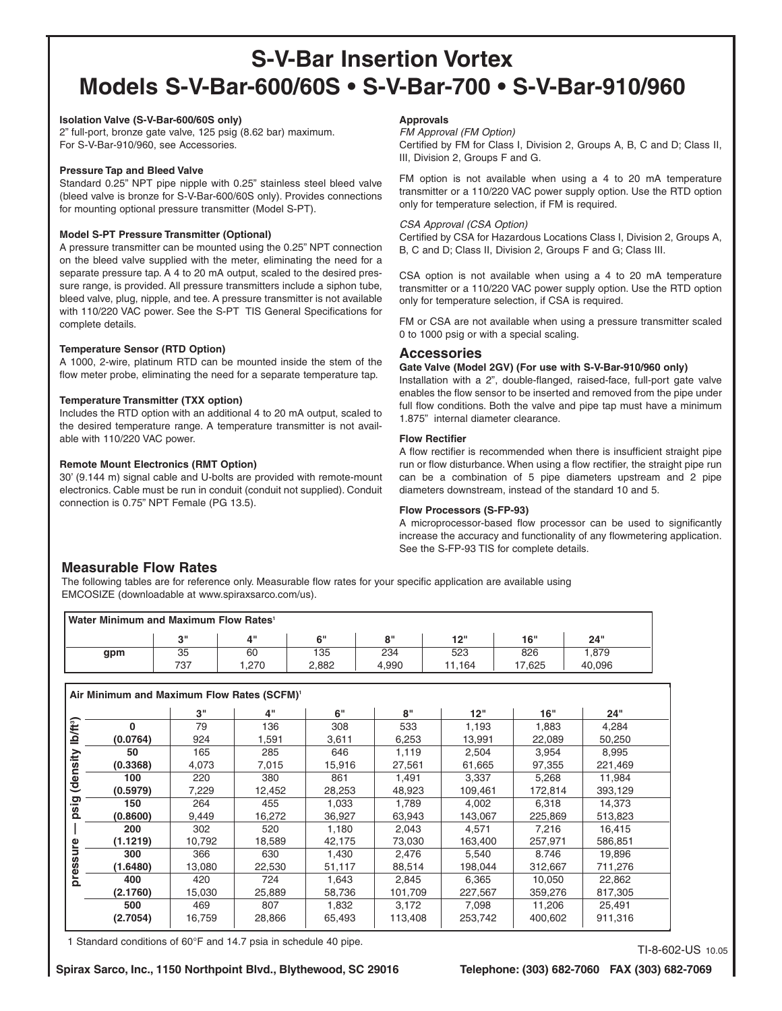#### **Isolation Valve (S-V-Bar-600/60S only)**

2" full-port, bronze gate valve, 125 psig (8.62 bar) maximum. For S-V-Bar-910/960, see Accessories.

#### **Pressure Tap and Bleed Valve**

Standard 0.25" NPT pipe nipple with 0.25" stainless steel bleed valve (bleed valve is bronze for S-V-Bar-600/60S only). Provides connections for mounting optional pressure transmitter (Model S-PT).

#### **Model S-PT Pressure Transmitter (Optional)**

A pressure transmitter can be mounted using the 0.25" NPT connection on the bleed valve supplied with the meter, eliminating the need for a separate pressure tap. A 4 to 20 mA output, scaled to the desired pressure range, is provided. All pressure transmitters include a siphon tube, bleed valve, plug, nipple, and tee. A pressure transmitter is not available with 110/220 VAC power. See the S-PT TIS General Specifications for complete details.

#### **Temperature Sensor (RTD Option)**

A 1000, 2-wire, platinum RTD can be mounted inside the stem of the flow meter probe, eliminating the need for a separate temperature tap.

#### **Temperature Transmitter (TXX option)**

Includes the RTD option with an additional 4 to 20 mA output, scaled to the desired temperature range. A temperature transmitter is not available with 110/220 VAC power.

#### **Remote Mount Electronics (RMT Option)**

30' (9.144 m) signal cable and U-bolts are provided with remote-mount electronics. Cable must be run in conduit (conduit not supplied). Conduit connection is 0.75" NPT Female (PG 13.5).

#### **Approvals**

FM Approval (FM Option)

Certified by FM for Class I, Division 2, Groups A, B, C and D; Class II, III, Division 2, Groups F and G.

FM option is not available when using a 4 to 20 mA temperature transmitter or a 110/220 VAC power supply option. Use the RTD option only for temperature selection, if FM is required.

#### CSA Approval (CSA Option)

Certified by CSA for Hazardous Locations Class I, Division 2, Groups A, B, C and D; Class II, Division 2, Groups F and G; Class III.

CSA option is not available when using a 4 to 20 mA temperature transmitter or a 110/220 VAC power supply option. Use the RTD option only for temperature selection, if CSA is required.

FM or CSA are not available when using a pressure transmitter scaled 0 to 1000 psig or with a special scaling.

#### **Accessories**

#### **Gate Valve (Model 2GV) (For use with S-V-Bar-910/960 only)**

Installation with a 2", double-flanged, raised-face, full-port gate valve enables the flow sensor to be inserted and removed from the pipe under full flow conditions. Both the valve and pipe tap must have a minimum 1.875" internal diameter clearance.

#### **Flow Rectifier**

A flow rectifier is recommended when there is insufficient straight pipe run or flow disturbance. When using a flow rectifier, the straight pipe run can be a combination of 5 pipe diameters upstream and 2 pipe diameters downstream, instead of the standard 10 and 5.

#### **Flow Processors (S-FP-93)**

A microprocessor-based flow processor can be used to significantly increase the accuracy and functionality of any flowmetering application. See the S-FP-93 TIS for complete details.

#### **Measurable Flow Rates**

The following tables are for reference only. Measurable flow rates for your specific application are available using EMCOSIZE (downloadable at www.spiraxsarco.com/us).

#### **Water Minimum and Maximum Flow Rates1**

| <u>Truly in Indianal Indian Midshim in Italy</u> |        |                 |        |            |               |       |        |  |
|--------------------------------------------------|--------|-----------------|--------|------------|---------------|-------|--------|--|
|                                                  | $\sim$ | $\mathbf{A}$ II | $\sim$ | $^{\circ}$ | יי מ-1<br>. . | 16"   | 24"    |  |
| gpm                                              | 35     | 60              | 135    | 234        | 523           | 826   | .879   |  |
|                                                  | 737    | .270            | 2.882  | 4.990      | 11.164        | 7,625 | 40,096 |  |

#### **Air Minimum and Maximum Flow Rates (SCFM)1**

|          | 3"     | 4"     | 6"     | 8"      | 12"     | 16"     | 24"     |
|----------|--------|--------|--------|---------|---------|---------|---------|
| U        | 79     | 136    | 308    | 533     | 1,193   | 1,883   | 4,284   |
| (0.0764) | 924    | 1,591  | 3,611  | 6,253   | 13,991  | 22,089  | 50,250  |
| 50       | 165    | 285    | 646    | 1,119   | 2,504   | 3.954   | 8.995   |
| (0.3368) | 4,073  | 7,015  | 15,916 | 27,561  | 61,665  | 97,355  | 221,469 |
| 100      | 220    | 380    | 861    | 1,491   | 3,337   | 5,268   | 11,984  |
| (0.5979) | 7,229  | 12,452 | 28,253 | 48,923  | 109,461 | 172,814 | 393,129 |
| 150      | 264    | 455    | 1,033  | 1.789   | 4,002   | 6.318   | 14.373  |
| (0.8600) | 9.449  | 16.272 | 36.927 | 63.943  | 143.067 | 225.869 | 513,823 |
| 200      | 302    | 520    | 1,180  | 2,043   | 4.571   | 7,216   | 16,415  |
| (1.1219) | 10,792 | 18,589 | 42,175 | 73,030  | 163,400 | 257,971 | 586,851 |
| 300      | 366    | 630    | 1,430  | 2,476   | 5,540   | 8.746   | 19,896  |
| (1.6480) | 13,080 | 22,530 | 51,117 | 88,514  | 198,044 | 312,667 | 711,276 |
| 400      | 420    | 724    | 1,643  | 2,845   | 6,365   | 10.050  | 22,862  |
| (2.1760) | 15,030 | 25,889 | 58,736 | 101,709 | 227,567 | 359,276 | 817,305 |
| 500      | 469    | 807    | 1,832  | 3,172   | 7,098   | 11,206  | 25,491  |
| (2.7054) | 16,759 | 28,866 | 65,493 | 113,408 | 253,742 | 400,602 | 911,316 |

1 Standard conditions of 60°F and 14.7 psia in schedule 40 pipe.<br>TI-8-602-US 10.05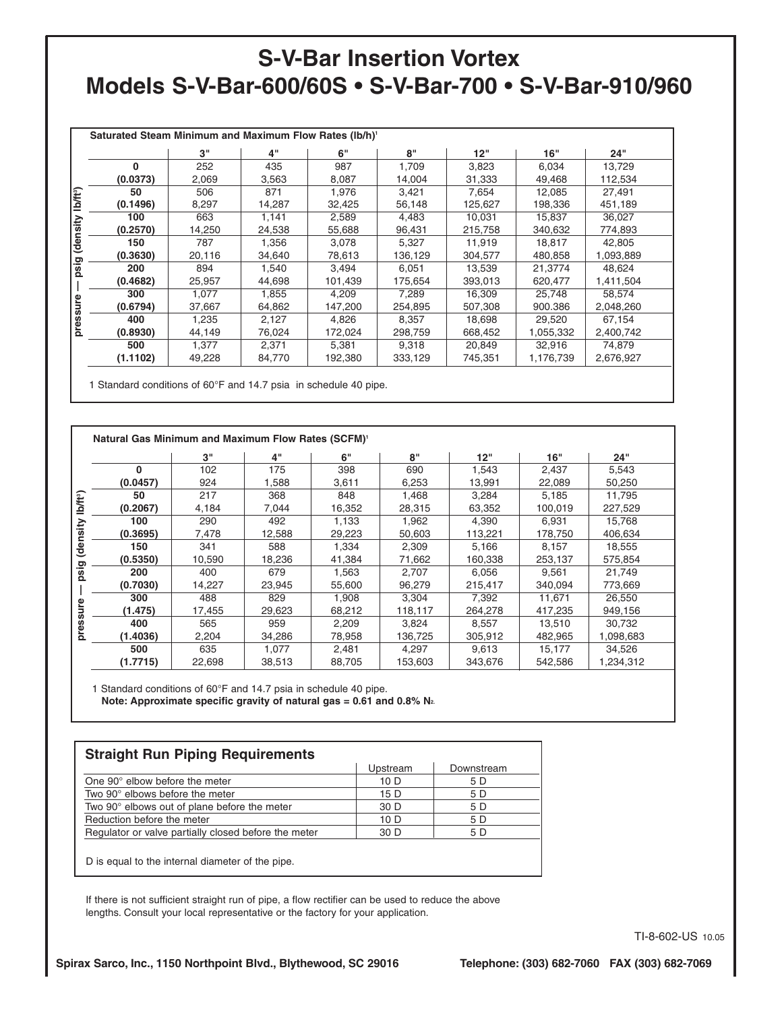|                      | Saturated Steam Minimum and Maximum Flow Rates (lb/h) <sup>1</sup> |        |        |         |         |         |           |           |
|----------------------|--------------------------------------------------------------------|--------|--------|---------|---------|---------|-----------|-----------|
|                      |                                                                    | 3"     | 4"     | 6"      | 8"      | 12"     | 16"       | 24"       |
|                      | $\Omega$                                                           | 252    | 435    | 987     | 1,709   | 3,823   | 6,034     | 13,729    |
|                      | (0.0373)                                                           | 2,069  | 3,563  | 8,087   | 14,004  | 31,333  | 49,468    | 112,534   |
|                      | 50                                                                 | 506    | 871    | 1,976   | 3,421   | 7,654   | 12,085    | 27,491    |
| lb/ft <sup>9</sup> ) | (0.1496)                                                           | 8,297  | 14,287 | 32,425  | 56,148  | 125,627 | 198,336   | 451,189   |
|                      | 100                                                                | 663    | 1,141  | 2,589   | 4,483   | 10,031  | 15,837    | 36,027    |
| (density             | (0.2570)                                                           | 14,250 | 24,538 | 55,688  | 96,431  | 215,758 | 340,632   | 774,893   |
|                      | 150                                                                | 787    | 1,356  | 3,078   | 5,327   | 11,919  | 18,817    | 42,805    |
|                      | (0.3630)                                                           | 20,116 | 34,640 | 78,613  | 136,129 | 304.577 | 480,858   | 1,093,889 |
| psig                 | 200                                                                | 894    | 1,540  | 3,494   | 6,051   | 13,539  | 21,3774   | 48,624    |
|                      | (0.4682)                                                           | 25,957 | 44,698 | 101,439 | 175,654 | 393,013 | 620,477   | 1,411,504 |
|                      | 300                                                                | 1.077  | 1,855  | 4,209   | 7,289   | 16,309  | 25.748    | 58,574    |
| pressure             | (0.6794)                                                           | 37,667 | 64,862 | 147,200 | 254,895 | 507.308 | 900.386   | 2,048,260 |
|                      | 400                                                                | 1,235  | 2,127  | 4,826   | 8,357   | 18,698  | 29,520    | 67,154    |
|                      | (0.8930)                                                           | 44,149 | 76,024 | 172,024 | 298,759 | 668,452 | 1,055,332 | 2,400,742 |
|                      | 500                                                                | 1,377  | 2,371  | 5,381   | 9,318   | 20,849  | 32,916    | 74,879    |
|                      | (1.1102)                                                           | 49,228 | 84,770 | 192,380 | 333,129 | 745,351 | 1,176,739 | 2,676,927 |
|                      |                                                                    |        |        |         |         |         |           |           |

1 Standard conditions of 60°F and 14.7 psia in schedule 40 pipe.

|          | 3"     | 4"     | 6"     | 8"      | 12"     | 16"     | 24"       |
|----------|--------|--------|--------|---------|---------|---------|-----------|
| 0        | 102    | 175    | 398    | 690     | 1,543   | 2,437   | 5,543     |
| (0.0457) | 924    | 1,588  | 3,611  | 6,253   | 13,991  | 22,089  | 50,250    |
| 50       | 217    | 368    | 848    | 1.468   | 3.284   | 5.185   | 11.795    |
| (0.2067) | 4,184  | 7,044  | 16,352 | 28,315  | 63,352  | 100,019 | 227,529   |
| 100      | 290    | 492    | 1,133  | 1.962   | 4.390   | 6.931   | 15.768    |
| (0.3695) | 7.478  | 12,588 | 29,223 | 50.603  | 113,221 | 178,750 | 406.634   |
| 150      | 341    | 588    | 1,334  | 2,309   | 5,166   | 8,157   | 18,555    |
| (0.5350) | 10,590 | 18.236 | 41,384 | 71,662  | 160,338 | 253,137 | 575,854   |
| 200      | 400    | 679    | 1,563  | 2,707   | 6,056   | 9,561   | 21,749    |
| (0.7030) | 14,227 | 23,945 | 55,600 | 96,279  | 215,417 | 340.094 | 773,669   |
| 300      | 488    | 829    | 1,908  | 3,304   | 7,392   | 11,671  | 26.550    |
| (1.475)  | 17,455 | 29,623 | 68,212 | 118,117 | 264,278 | 417,235 | 949,156   |
| 400      | 565    | 959    | 2,209  | 3.824   | 8,557   | 13,510  | 30.732    |
| (1.4036) | 2,204  | 34,286 | 78,958 | 136,725 | 305,912 | 482,965 | 1,098,683 |
| 500      | 635    | 1,077  | 2,481  | 4.297   | 9,613   | 15,177  | 34,526    |
| (1.7715) | 22,698 | 38,513 | 88,705 | 153,603 | 343,676 | 542,586 | 1,234,312 |

1 Standard conditions of 60°F and 14.7 psia in schedule 40 pipe. **Note: Approximate specific gravity of natural gas = 0.61 and 0.8% N2.**

| <b>Straight Run Piping Requirements</b>              |          |            |  |  |  |  |
|------------------------------------------------------|----------|------------|--|--|--|--|
|                                                      | Upstream | Downstream |  |  |  |  |
| One 90° elbow before the meter                       | 10 D     | 5 D        |  |  |  |  |
| Two 90° elbows before the meter                      | 15 D     | 5 D        |  |  |  |  |
| Two 90° elbows out of plane before the meter         | 30 D     | 5 D        |  |  |  |  |
| Reduction before the meter                           | 10 D     | 5 D        |  |  |  |  |
| Regulator or valve partially closed before the meter | 30 D     | 5 D        |  |  |  |  |
|                                                      |          |            |  |  |  |  |

D is equal to the internal diameter of the pipe.

If there is not sufficient straight run of pipe, a flow rectifier can be used to reduce the above lengths. Consult your local representative or the factory for your application.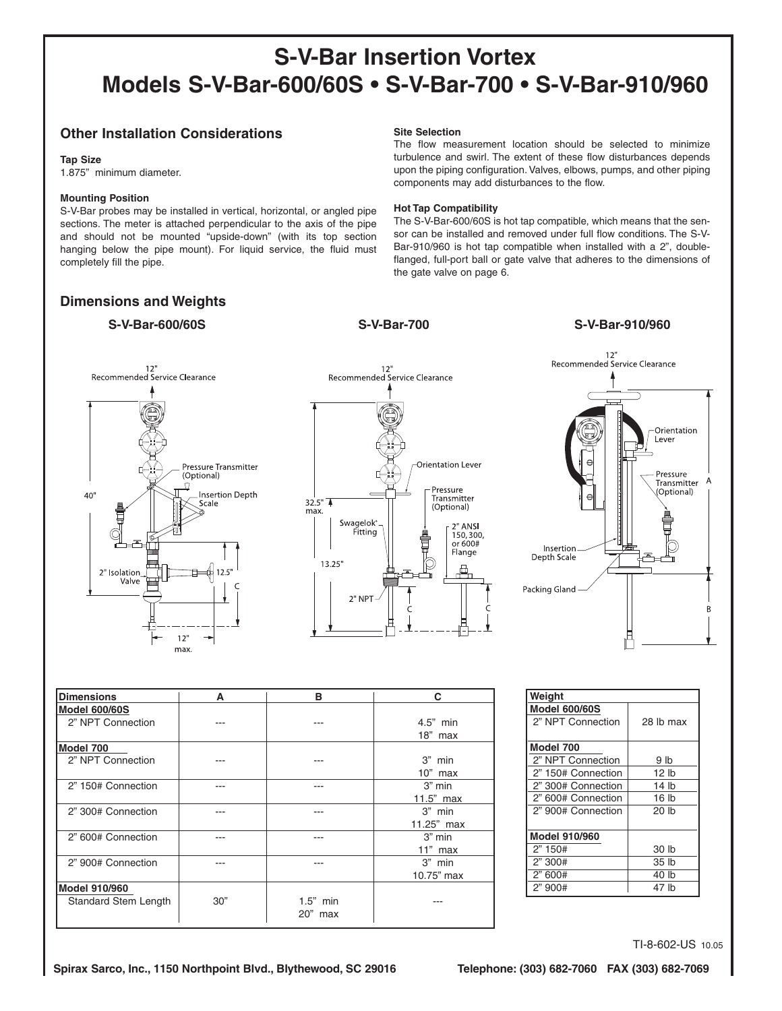#### **Other Installation Considerations**

#### **Tap Size**

1.875" minimum diameter.

#### **Mounting Position**

S-V-Bar probes may be installed in vertical, horizontal, or angled pipe sections. The meter is attached perpendicular to the axis of the pipe and should not be mounted "upside-down" (with its top section hanging below the pipe mount). For liquid service, the fluid must completely fill the pipe.

#### **Dimensions and Weights**

#### **S-V-Bar-600/60S S-V-Bar-700 S-V-Bar-910/960**

#### **Site Selection**

The flow measurement location should be selected to minimize turbulence and swirl. The extent of these flow disturbances depends upon the piping configuration. Valves, elbows, pumps, and other piping components may add disturbances to the flow.

#### **Hot Tap Compatibility**

The S-V-Bar-600/60S is hot tap compatible, which means that the sensor can be installed and removed under full flow conditions. The S-V-Bar-910/960 is hot tap compatible when installed with a 2", doubleflanged, full-port ball or gate valve that adheres to the dimensions of the gate valve on page 6.







| <b>Dimensions</b>           | A   | в          | C             |
|-----------------------------|-----|------------|---------------|
| <b>Model 600/60S</b>        |     |            |               |
| 2" NPT Connection           |     |            | $4.5"$ min    |
|                             |     |            | $18"$ max     |
| Model 700                   |     |            |               |
| 2" NPT Connection           |     |            | $3"$ min      |
|                             |     |            | $10"$ max     |
| 2" 150# Connection          |     |            | $3"$ min      |
|                             |     |            | $11.5"$ max   |
| 2" 300# Connection          |     |            | $3"$ min      |
|                             |     |            | $11.25$ " max |
| 2" 600# Connection          |     |            | $3"$ min      |
|                             |     |            | $11"$ max     |
| 2" 900# Connection          |     |            | $3"$ min      |
|                             |     |            | 10.75" max    |
| <b>Model 910/960</b>        |     |            |               |
| <b>Standard Stem Length</b> | 30" | $1.5"$ min |               |
|                             |     | 20" max    |               |

| Weight               |                  |
|----------------------|------------------|
| <b>Model 600/60S</b> |                  |
| 2" NPT Connection    | 28 lb max        |
|                      |                  |
| Model 700            |                  |
| 2" NPT Connection    | 9 lb             |
| 2" 150# Connection   | 12 lb            |
| 2" 300# Connection   | 14 lb            |
| 2" 600# Connection   | 16 <sub>lb</sub> |
| 2" 900# Connection   | 20 lb            |
|                      |                  |
| Model 910/960        |                  |
| 2" 150#              | 30 lb            |
| 2"300#               | 35 lb            |
| 2"600#               | 40 lb            |
| 2" 900#              | 47 lb            |
|                      |                  |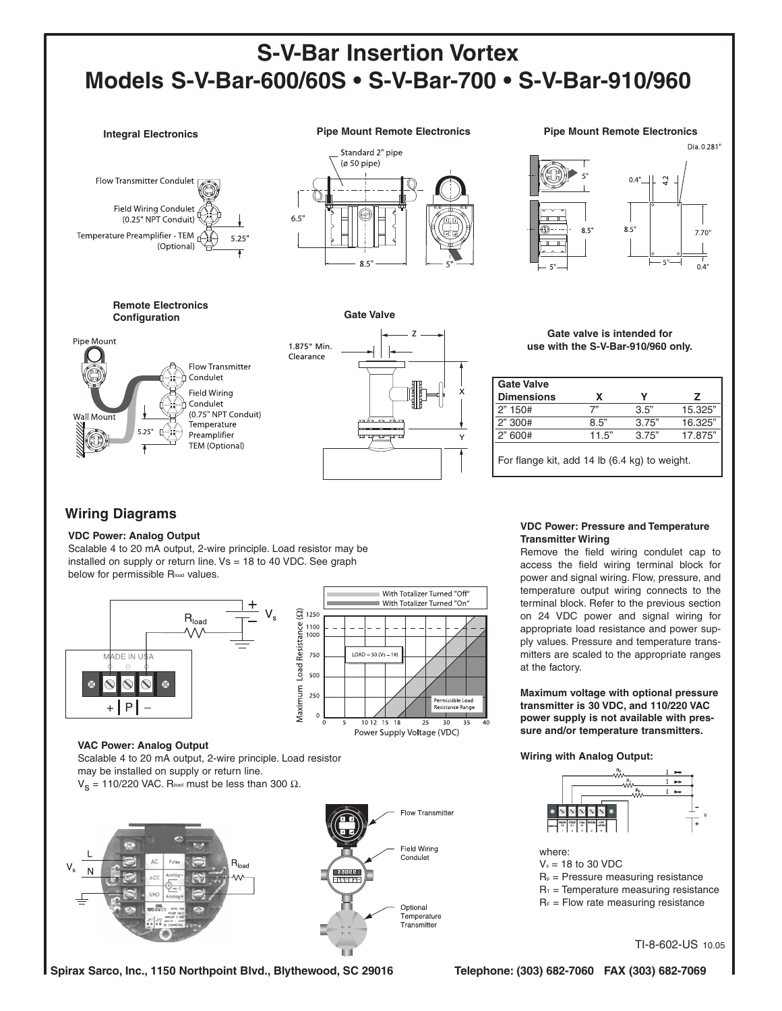Standard 2" pipe (ø 50 pipe)

6.5



**Remote Electronics Configuration**







#### **Gate valve is intended for use with the S-V-Bar-910/960 only.**

| Gate Valve                                    |       |       |         |  |
|-----------------------------------------------|-------|-------|---------|--|
| Dimensions                                    | x     | v     | 7       |  |
| 2" 150#                                       | 7"    | 3.5"  | 15.325" |  |
| 2" 300#                                       | 8.5"  | 3.75" | 16.325" |  |
| 2" 600#                                       | 11.5" | 3.75" | 17.875" |  |
| For flange kit, add 14 lb (6.4 kg) to weight. |       |       |         |  |

#### **Wiring Diagrams**

#### **VDC Power: Analog Output**

Scalable 4 to 20 mA output, 2-wire principle. Load resistor may be installed on supply or return line. Vs = 18 to 40 VDC. See graph below for permissible Rload values.



Scalable 4 to 20 mA output, 2-wire principle. Load resistor may be installed on supply or return line.

V<sub>S</sub> = 110/220 VAC. Rload must be less than 300 Ω.



**VDC Power: Pressure and Temperature Transmitter Wiring**

Remove the field wiring condulet cap to access the field wiring terminal block for power and signal wiring. Flow, pressure, and temperature output wiring connects to the terminal block. Refer to the previous section on 24 VDC power and signal wiring for appropriate load resistance and power supply values. Pressure and temperature transmitters are scaled to the appropriate ranges at the factory.

**Maximum voltage with optional pressure transmitter is 30 VDC, and 110/220 VAC power supply is not available with pressure and/or temperature transmitters.**

**Wiring with Analog Output:**



 $V_s = 18$  to 30 VDC

- $R_p$  = Pressure measuring resistance
- $R<sub>T</sub>$  = Temperature measuring resistance
- $R_F$  = Flow rate measuring resistance

TI-8-602-US 10.05

**Spirax Sarco, Inc., 1150 Northpoint Blvd., Blythewood, SC 29016 Telephone: (303) 682-7060 FAX (303) 682-7069**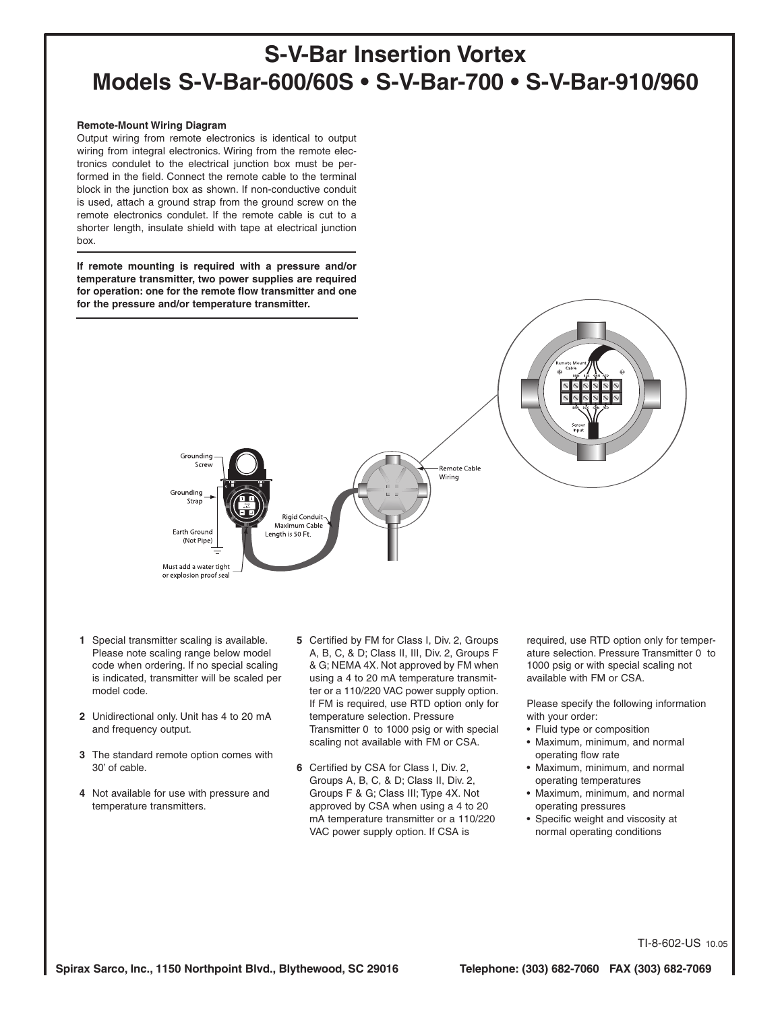#### **Remote-Mount Wiring Diagram**

Output wiring from remote electronics is identical to output wiring from integral electronics. Wiring from the remote electronics condulet to the electrical junction box must be performed in the field. Connect the remote cable to the terminal block in the junction box as shown. If non-conductive conduit is used, attach a ground strap from the ground screw on the remote electronics condulet. If the remote cable is cut to a shorter length, insulate shield with tape at electrical junction box.

**If remote mounting is required with a pressure and/or temperature transmitter, two power supplies are required for operation: one for the remote flow transmitter and one for the pressure and/or temperature transmitter.**



- **1** Special transmitter scaling is available. Please note scaling range below model code when ordering. If no special scaling is indicated, transmitter will be scaled per model code.
- **2** Unidirectional only. Unit has 4 to 20 mA and frequency output.
- **3** The standard remote option comes with 30' of cable.
- **4** Not available for use with pressure and temperature transmitters.
- **5** Certified by FM for Class I, Div. 2, Groups A, B, C, & D; Class II, III, Div. 2, Groups F & G; NEMA 4X. Not approved by FM when using a 4 to 20 mA temperature transmitter or a 110/220 VAC power supply option. If FM is required, use RTD option only for temperature selection. Pressure Transmitter 0 to 1000 psig or with special scaling not available with FM or CSA.
- **6** Certified by CSA for Class I, Div. 2, Groups A, B, C, & D; Class II, Div. 2, Groups F & G; Class III; Type 4X. Not approved by CSA when using a 4 to 20 mA temperature transmitter or a 110/220 VAC power supply option. If CSA is

required, use RTD option only for temperature selection. Pressure Transmitter 0 to 1000 psig or with special scaling not available with FM or CSA.

Please specify the following information with your order:

- Fluid type or composition
- Maximum, minimum, and normal operating flow rate
- Maximum, minimum, and normal operating temperatures
- Maximum, minimum, and normal operating pressures
- Specific weight and viscosity at normal operating conditions